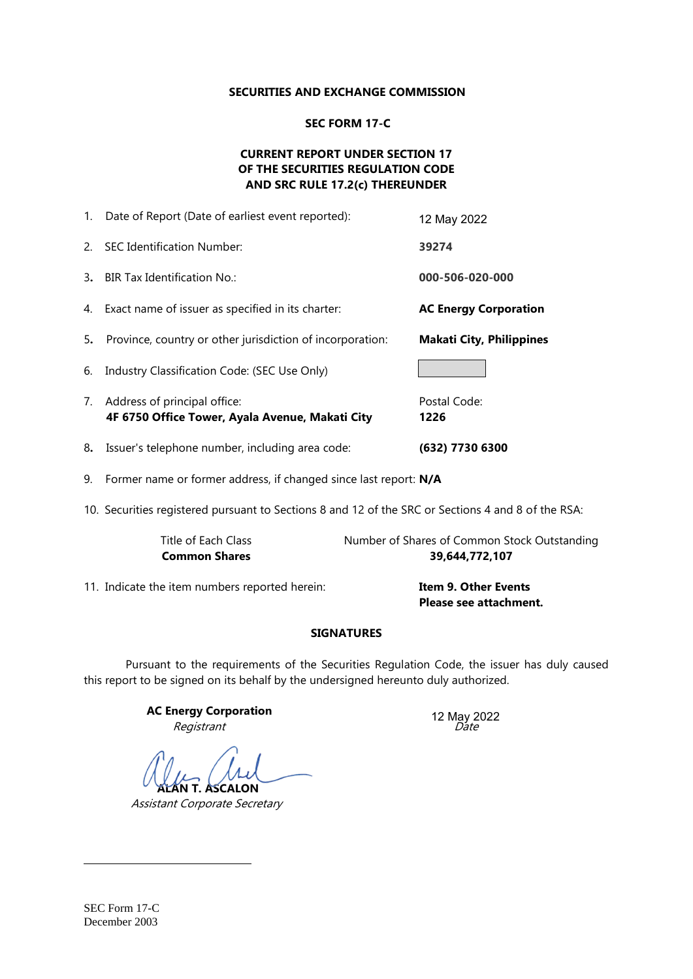#### **SECURITIES AND EXCHANGE COMMISSION**

### **SEC FORM 17-C**

# **CURRENT REPORT UNDER SECTION 17 OF THE SECURITIES REGULATION CODE AND SRC RULE 17.2(c) THEREUNDER**

|    | 1. Date of Report (Date of earliest event reported):                               | 12 May 2022                     |
|----|------------------------------------------------------------------------------------|---------------------------------|
|    | 2. SEC Identification Number:                                                      | 39274                           |
|    | 3. BIR Tax Identification No.:                                                     | 000-506-020-000                 |
|    | 4. Exact name of issuer as specified in its charter:                               | <b>AC Energy Corporation</b>    |
| 5. | Province, country or other jurisdiction of incorporation:                          | <b>Makati City, Philippines</b> |
| 6. | Industry Classification Code: (SEC Use Only)                                       |                                 |
|    | 7. Address of principal office:<br>4F 6750 Office Tower, Ayala Avenue, Makati City | Postal Code:<br>1226            |
| 8. | Issuer's telephone number, including area code:                                    | (632) 7730 6300                 |
|    |                                                                                    |                                 |

9. Former name or former address, if changed since last report: **N/A**

10. Securities registered pursuant to Sections 8 and 12 of the SRC or Sections 4 and 8 of the RSA:

| <b>Common Shares</b> | 39,644,772,107                               |  |
|----------------------|----------------------------------------------|--|
| Title of Each Class  | Number of Shares of Common Stock Outstanding |  |

11. Indicate the item numbers reported herein: **Item 9. Other Events**

**Please see attachment.** 

#### **SIGNATURES**

Pursuant to the requirements of the Securities Regulation Code, the issuer has duly caused this report to be signed on its behalf by the undersigned hereunto duly authorized.

> **AC Energy Corporation** Registrant

**T. ASCALON** 

Assistant Corporate Secretary

12 May 2022